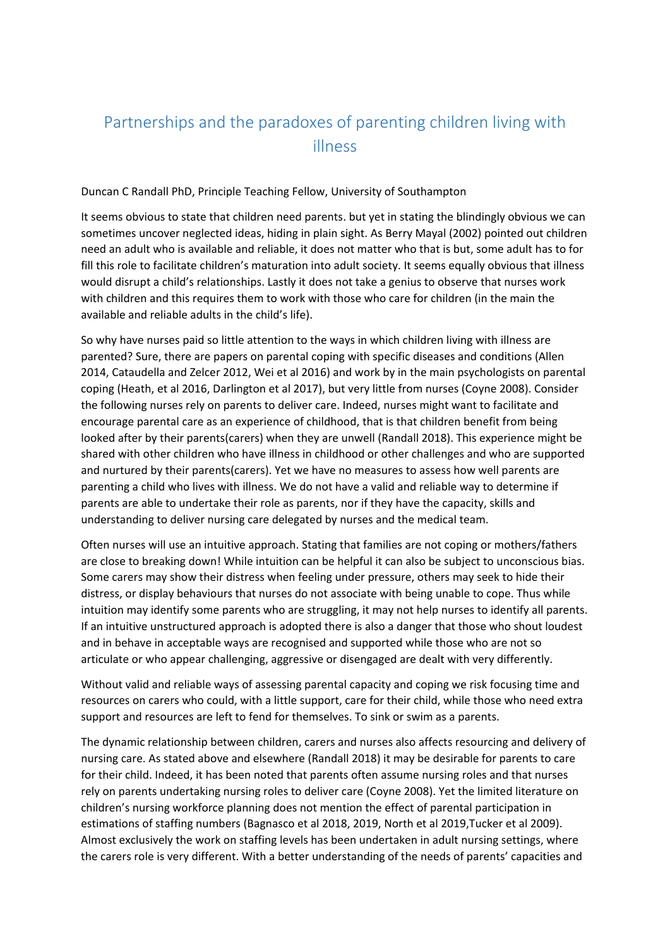## Partnerships and the paradoxes of parenting children living with illness

## Duncan C Randall PhD, Principle Teaching Fellow, University of Southampton

It seems obvious to state that children need parents. but yet in stating the blindingly obvious we can sometimes uncover neglected ideas, hiding in plain sight. As Berry Mayal (2002) pointed out children need an adult who is available and reliable, it does not matter who that is but, some adult has to for fill this role to facilitate children's maturation into adult society. It seems equally obvious that illness would disrupt a child's relationships. Lastly it does not take a genius to observe that nurses work with children and this requires them to work with those who care for children (in the main the available and reliable adults in the child's life).

So why have nurses paid so little attention to the ways in which children living with illness are parented? Sure, there are papers on parental coping with specific diseases and conditions (Allen 2014, Cataudella and Zelcer 2012, Wei et al 2016) and work by in the main psychologists on parental coping (Heath, et al 2016, Darlington et al 2017), but very little from nurses (Coyne 2008). Consider the following nurses rely on parents to deliver care. Indeed, nurses might want to facilitate and encourage parental care as an experience of childhood, that is that children benefit from being looked after by their parents(carers) when they are unwell (Randall 2018). This experience might be shared with other children who have illness in childhood or other challenges and who are supported and nurtured by their parents(carers). Yet we have no measures to assess how well parents are parenting a child who lives with illness. We do not have a valid and reliable way to determine if parents are able to undertake their role as parents, nor if they have the capacity, skills and understanding to deliver nursing care delegated by nurses and the medical team.

Often nurses will use an intuitive approach. Stating that families are not coping or mothers/fathers are close to breaking down! While intuition can be helpful it can also be subject to unconscious bias. Some carers may show their distress when feeling under pressure, others may seek to hide their distress, or display behaviours that nurses do not associate with being unable to cope. Thus while intuition may identify some parents who are struggling, it may not help nurses to identify all parents. If an intuitive unstructured approach is adopted there is also a danger that those who shout loudest and in behave in acceptable ways are recognised and supported while those who are not so articulate or who appear challenging, aggressive or disengaged are dealt with very differently.

Without valid and reliable ways of assessing parental capacity and coping we risk focusing time and resources on carers who could, with a little support, care for their child, while those who need extra support and resources are left to fend for themselves. To sink or swim as a parents.

The dynamic relationship between children, carers and nurses also affects resourcing and delivery of nursing care. As stated above and elsewhere (Randall 2018) it may be desirable for parents to care for their child. Indeed, it has been noted that parents often assume nursing roles and that nurses rely on parents undertaking nursing roles to deliver care (Coyne 2008). Yet the limited literature on children's nursing workforce planning does not mention the effect of parental participation in estimations of staffing numbers (Bagnasco et al 2018, 2019, North et al 2019,Tucker et al 2009). Almost exclusively the work on staffing levels has been undertaken in adult nursing settings, where the carers role is very different. With a better understanding of the needs of parents' capacities and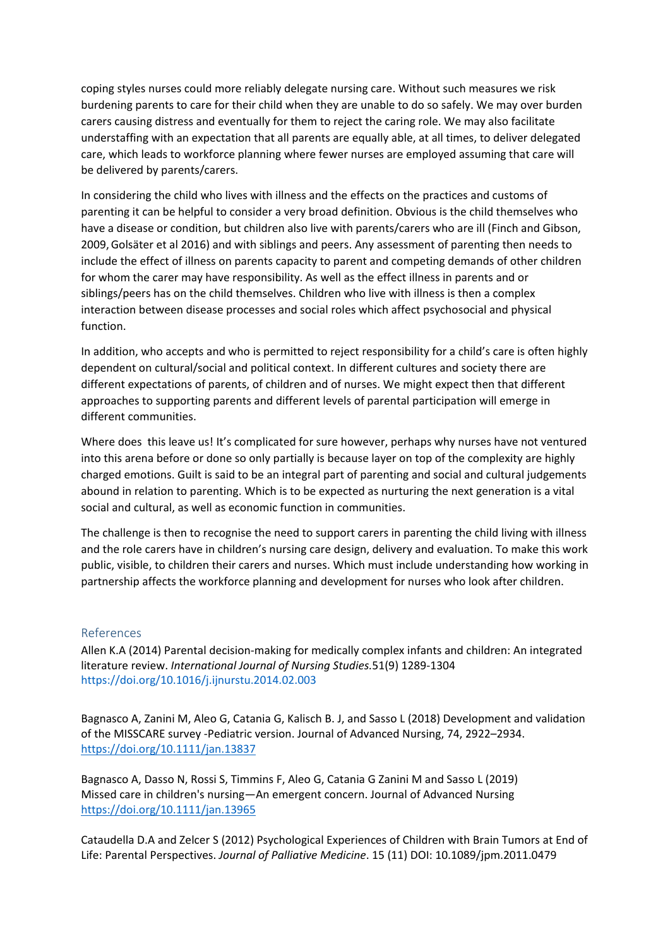coping styles nurses could more reliably delegate nursing care. Without such measures we risk burdening parents to care for their child when they are unable to do so safely. We may over burden carers causing distress and eventually for them to reject the caring role. We may also facilitate understaffing with an expectation that all parents are equally able, at all times, to deliver delegated care, which leads to workforce planning where fewer nurses are employed assuming that care will be delivered by parents/carers.

In considering the child who lives with illness and the effects on the practices and customs of parenting it can be helpful to consider a very broad definition. Obvious is the child themselves who have a disease or condition, but children also live with parents/carers who are ill (Finch and Gibson, 2009,Golsäter et al 2016) and with siblings and peers. Any assessment of parenting then needs to include the effect of illness on parents capacity to parent and competing demands of other children for whom the carer may have responsibility. As well as the effect illness in parents and or siblings/peers has on the child themselves. Children who live with illness is then a complex interaction between disease processes and social roles which affect psychosocial and physical function.

In addition, who accepts and who is permitted to reject responsibility for a child's care is often highly dependent on cultural/social and political context. In different cultures and society there are different expectations of parents, of children and of nurses. We might expect then that different approaches to supporting parents and different levels of parental participation will emerge in different communities.

Where does this leave us! It's complicated for sure however, perhaps why nurses have not ventured into this arena before or done so only partially is because layer on top of the complexity are highly charged emotions. Guilt is said to be an integral part of parenting and social and cultural judgements abound in relation to parenting. Which is to be expected as nurturing the next generation is a vital social and cultural, as well as economic function in communities.

The challenge is then to recognise the need to support carers in parenting the child living with illness and the role carers have in children's nursing care design, delivery and evaluation. To make this work public, visible, to children their carers and nurses. Which must include understanding how working in partnership affects the workforce planning and development for nurses who look after children.

## References

Allen K.A (2014) Parental decision-making for medically complex infants and children: An integrated literature review. *[International Journal of Nursing Studies.](https://www.sciencedirect.com/science/journal/00207489)*[51\(9\)](https://www.sciencedirect.com/science/journal/00207489/51/9) 1289-1304 <https://doi.org/10.1016/j.ijnurstu.2014.02.003>

Bagnasco A, Zanini M, Aleo G, Catania G, Kalisch B. J, and Sasso L (2018) Development and validation of the MISSCARE survey -Pediatric version. Journal of Advanced Nursing, 74, 2922–2934. <https://doi.org/10.1111/jan.13837>

Bagnasco A, Dasso N, Rossi S, Timmins F, Aleo G, Catania G Zanini M and Sasso L (2019) Missed care in children's nursing—An emergent concern. Journal of Advanced Nursing <https://doi.org/10.1111/jan.13965>

Cataudella D.A and Zelcer S (2012) Psychological Experiences of Children with Brain Tumors at End of Life: Parental Perspectives. *Journal of Palliative Medicine*. 15 (11) DOI: 10.1089/jpm.2011.0479